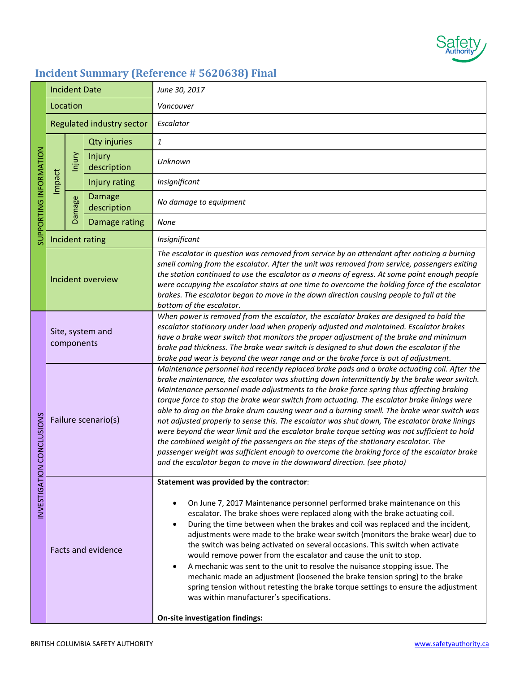

## **Incident Summary (Reference # 5620638) Final**

| SUPPORTING INFORMATION | <b>Incident Date</b>           |               |                              | June 30, 2017                                                                                                                                                                                                                                                                                                                                                                                                                                                                                                                                                                                                                                                                                                                                                                                                                                                                                                                                        |
|------------------------|--------------------------------|---------------|------------------------------|------------------------------------------------------------------------------------------------------------------------------------------------------------------------------------------------------------------------------------------------------------------------------------------------------------------------------------------------------------------------------------------------------------------------------------------------------------------------------------------------------------------------------------------------------------------------------------------------------------------------------------------------------------------------------------------------------------------------------------------------------------------------------------------------------------------------------------------------------------------------------------------------------------------------------------------------------|
|                        | Location                       |               |                              | Vancouver                                                                                                                                                                                                                                                                                                                                                                                                                                                                                                                                                                                                                                                                                                                                                                                                                                                                                                                                            |
|                        | Regulated industry sector      |               |                              | Escalator                                                                                                                                                                                                                                                                                                                                                                                                                                                                                                                                                                                                                                                                                                                                                                                                                                                                                                                                            |
|                        | Impact                         | Injury        | <b>Qty injuries</b>          | $\mathbf{1}$                                                                                                                                                                                                                                                                                                                                                                                                                                                                                                                                                                                                                                                                                                                                                                                                                                                                                                                                         |
|                        |                                |               | Injury<br>description        | Unknown                                                                                                                                                                                                                                                                                                                                                                                                                                                                                                                                                                                                                                                                                                                                                                                                                                                                                                                                              |
|                        |                                |               | Injury rating                | Insignificant                                                                                                                                                                                                                                                                                                                                                                                                                                                                                                                                                                                                                                                                                                                                                                                                                                                                                                                                        |
|                        |                                | <b>Damage</b> | <b>Damage</b><br>description | No damage to equipment                                                                                                                                                                                                                                                                                                                                                                                                                                                                                                                                                                                                                                                                                                                                                                                                                                                                                                                               |
|                        |                                |               | Damage rating                | <b>None</b>                                                                                                                                                                                                                                                                                                                                                                                                                                                                                                                                                                                                                                                                                                                                                                                                                                                                                                                                          |
|                        | Incident rating                |               |                              | Insignificant                                                                                                                                                                                                                                                                                                                                                                                                                                                                                                                                                                                                                                                                                                                                                                                                                                                                                                                                        |
|                        | Incident overview              |               |                              | The escalator in question was removed from service by an attendant after noticing a burning<br>smell coming from the escalator. After the unit was removed from service, passengers exiting<br>the station continued to use the escalator as a means of egress. At some point enough people<br>were occupying the escalator stairs at one time to overcome the holding force of the escalator<br>brakes. The escalator began to move in the down direction causing people to fall at the<br>bottom of the escalator.                                                                                                                                                                                                                                                                                                                                                                                                                                 |
|                        | Site, system and<br>components |               |                              | When power is removed from the escalator, the escalator brakes are designed to hold the<br>escalator stationary under load when properly adjusted and maintained. Escalator brakes<br>have a brake wear switch that monitors the proper adjustment of the brake and minimum<br>brake pad thickness. The brake wear switch is designed to shut down the escalator if the<br>brake pad wear is beyond the wear range and or the brake force is out of adjustment.                                                                                                                                                                                                                                                                                                                                                                                                                                                                                      |
| CONCLUSIONS            | Failure scenario(s)            |               |                              | Maintenance personnel had recently replaced brake pads and a brake actuating coil. After the<br>brake maintenance, the escalator was shutting down intermittently by the brake wear switch.<br>Maintenance personnel made adjustments to the brake force spring thus affecting braking<br>torque force to stop the brake wear switch from actuating. The escalator brake linings were<br>able to drag on the brake drum causing wear and a burning smell. The brake wear switch was<br>not adjusted properly to sense this. The escalator was shut down, The escalator brake linings<br>were beyond the wear limit and the escalator brake torque setting was not sufficient to hold<br>the combined weight of the passengers on the steps of the stationary escalator. The<br>passenger weight was sufficient enough to overcome the braking force of the escalator brake<br>and the escalator began to move in the downward direction. (see photo) |
|                        |                                |               |                              | Statement was provided by the contractor:                                                                                                                                                                                                                                                                                                                                                                                                                                                                                                                                                                                                                                                                                                                                                                                                                                                                                                            |
| INVESTIGATION          | <b>Facts and evidence</b>      |               |                              | On June 7, 2017 Maintenance personnel performed brake maintenance on this<br>escalator. The brake shoes were replaced along with the brake actuating coil.<br>During the time between when the brakes and coil was replaced and the incident,<br>adjustments were made to the brake wear switch (monitors the brake wear) due to<br>the switch was being activated on several occasions. This switch when activate<br>would remove power from the escalator and cause the unit to stop.<br>A mechanic was sent to the unit to resolve the nuisance stopping issue. The<br>٠<br>mechanic made an adjustment (loosened the brake tension spring) to the brake<br>spring tension without retesting the brake torque settings to ensure the adjustment<br>was within manufacturer's specifications.                                                                                                                                                      |
|                        |                                |               |                              | On-site investigation findings:                                                                                                                                                                                                                                                                                                                                                                                                                                                                                                                                                                                                                                                                                                                                                                                                                                                                                                                      |